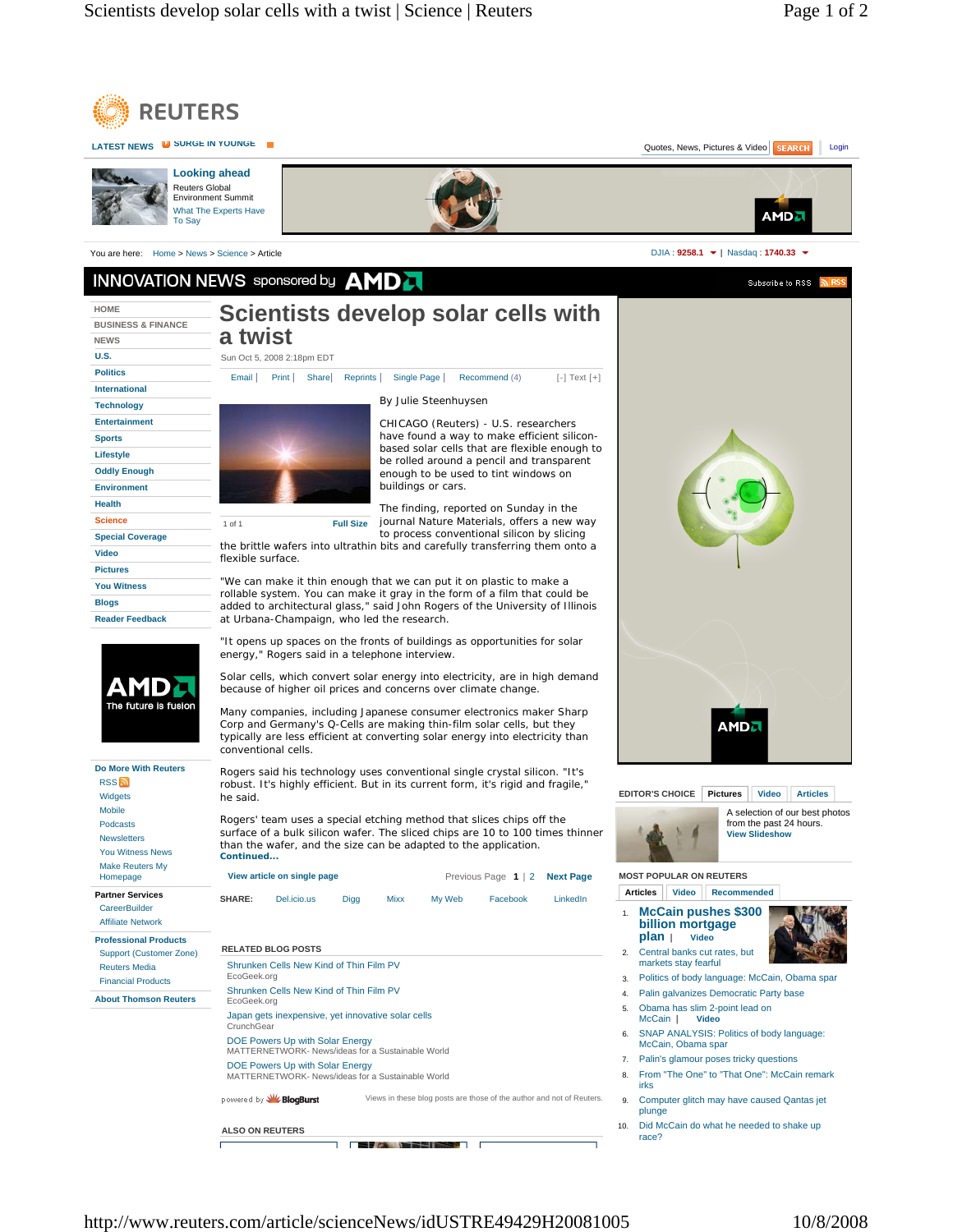